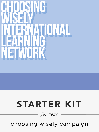### **Choosing Wisely International Learning Network Choosing Wisely International Learning Network**

## STARTER KIT

*for your* 

choosing wisely campaign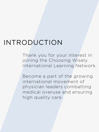## INTRODUCTION

Thank you for your interest in joining the Choosing Wisely International Learning Network.

Become a part of the growing international movement of physician leaders combatting medical overuse and ensuring high quality care.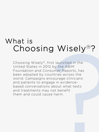## What is Choosing Wisely®?

I WISEIY<sup>®</sup>?<br>
I launched in the<br>
py the ABIM<br>
Imer Reports, has<br>
ntries across the<br>
ourage clinicians<br>
e in evidence-<br>
bout what tests<br>
ot benefit<br>
harm. Choosing Wisely®, first launched in the United States in 2012 by the ABIM Foundation and Consumer Reports, has been adopted by countries across the world. Campaigns encourage clinicians and patients to engage in evidencebased conversations about what tests and treatments may not benefit them and could cause harm.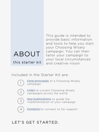## ABOUT

this starter kit

This guide is intended to provide basic information and tools to help you start your Choosing Wisely campaign. You can then tailor your campaign to your local circumstances and creative vision.

Included in the Starter Kit are:



Core principles of a Choosing Wisely campaign



Links to current Choosing Wisely campaigns across the world



Key publications to guide the implementation of your campaign



Contacts to connect to for support

#### LET'S GET STARTED.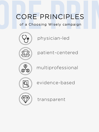## CORE PRINCIPLES<br>
of a Choosing Wisely campaign<br>
(Ve) physician-led of a Choosing Wisely campaign



physician-led



patient-centered



multiprofessional



evidence-based



transparent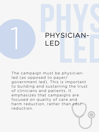# PHYSICIAN-PHYSICIAN-<br>LED<br>The campaign must be physician-LED

The campaign must be physicianled (as opposed to payer/ government led). This is important to building and sustaining the trust of clinicians and patients. It emphasizes that campaigns are focused on quality of care and harm reduction, rather than cost reduction.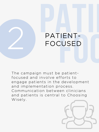

The campaign must be patientfocused and involve efforts to engage patients in the development and implementation process. Communication between clinicians and patients is central to Choosing Wisely.

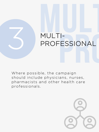# MULTI-<br>MULTI-<br>PROFESSIONAL MULTI-<br>PROFESSIONAL<br>Where possible, the campaign PROFESSIONAL

Where possible, the campaign should include physicians, nurses, pharmacists and other health care professionals.

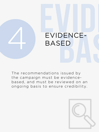

The recommendations issued by the campaign must be evidencebased, and must be reviewed on an ongoing basis to ensure credibility.

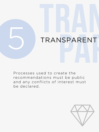

Processes used to create the recommendations must be public and any conflicts of interest must be declared.

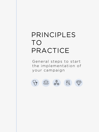## PRINCIPLES TO PRACTICE

General steps to start the implementation of your campaign









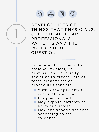



DEVELOP LISTS OF THINGS THAT PHYSICIANS, OTHER HEALTHCARE PROFESSIONALS, PATIENTS AND THE PUBLIC SHOULD QUESTION

Engage and partner with national medical, or professional, specialty societies to create lists of tests, treatments of procedures that are:

- Within the specialty's scope of practice
- **•** Frequently used
- **May expose patients to** harm and stress
- **May not benefit patients** according to the evidence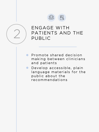



## ENGAGE WITH PATIENTS AND THE<br>PUBLIC

- Promote shared decision  $\bullet$ making between clinicians and patients
- Develop accessible, plain  $\bullet$ language materials for the public about the recommendations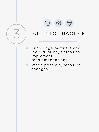



#### PUT INTO PRACTICE

- Encourage partners and  $\bullet$ individual physicians to implement recommendations
- When possible, measure  $\bullet$ changes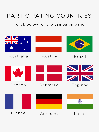### PARTICIPATING COUNTRIES

#### click below for the campaign page

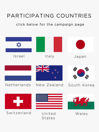## PARTICIPATING COUNTRIES

#### click below for the campaign page

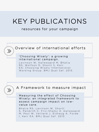## KEY PUBLICATIONS

#### resources for your campaign



#### Overview of international efforts

#### ['Choosing Wisely': a growing](https://www.ncbi.nlm.nih.gov/pubmed/25552584) international campaign.

Levinson W, Kallewaard M, Bhatia RS, Wolfson D, Shortt S, Kerr EA; Choosing Wisely International Working Group. BMJ Qual Saf. 2015



#### A Framework to measure impact

Measuring the effect of Choosing [Wisely: an integrated framework to](https://www.ncbi.nlm.nih.gov/pubmed/26092165) assess campaign impact on lowvalue care.

Bhatia RS, Levinson W, Shortt S, Pendrith C, Fric-Shamji E, Kallewaard M , Peul W, Veillard J, Elshaug A, Forde I. Kerr EA. BMJ Qual Saf. 2015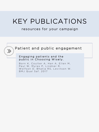## KEY PUBLICATIONS

#### resources for your campaign